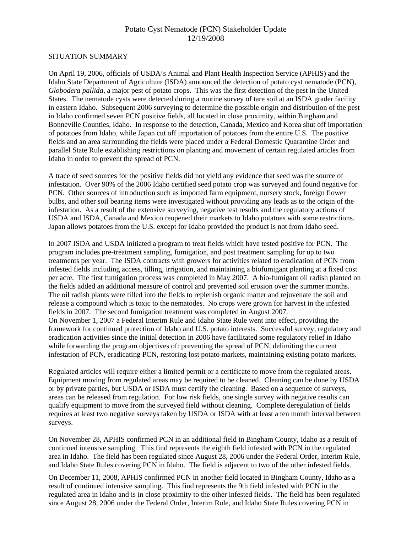### Potato Cyst Nematode (PCN) Stakeholder Update 12/19/2008

#### SITUATION SUMMARY

On April 19, 2006, officials of USDA's Animal and Plant Health Inspection Service (APHIS) and the Idaho State Department of Agriculture (ISDA) announced the detection of potato cyst nematode (PCN), *Globodera pallida*, a major pest of potato crops. This was the first detection of the pest in the United States. The nematode cysts were detected during a routine survey of tare soil at an ISDA grader facility in eastern Idaho. Subsequent 2006 surveying to determine the possible origin and distribution of the pest in Idaho confirmed seven PCN positive fields, all located in close proximity, within Bingham and Bonneville Counties, Idaho. In response to the detection, Canada, Mexico and Korea shut off importation of potatoes from Idaho, while Japan cut off importation of potatoes from the entire U.S. The positive fields and an area surrounding the fields were placed under a Federal Domestic Quarantine Order and parallel State Rule establishing restrictions on planting and movement of certain regulated articles from Idaho in order to prevent the spread of PCN.

A trace of seed sources for the positive fields did not yield any evidence that seed was the source of infestation. Over 90% of the 2006 Idaho certified seed potato crop was surveyed and found negative for PCN. Other sources of introduction such as imported farm equipment, nursery stock, foreign flower bulbs, and other soil bearing items were investigated without providing any leads as to the origin of the infestation. As a result of the extensive surveying, negative test results and the regulatory actions of USDA and ISDA, Canada and Mexico reopened their markets to Idaho potatoes with some restrictions. Japan allows potatoes from the U.S. except for Idaho provided the product is not from Idaho seed.

In 2007 ISDA and USDA initiated a program to treat fields which have tested positive for PCN. The program includes pre-treatment sampling, fumigation, and post treatment sampling for up to two treatments per year. The ISDA contracts with growers for activities related to eradication of PCN from infested fields including access, tilling, irrigation, and maintaining a biofumigant planting at a fixed cost per acre. The first fumigation process was completed in May 2007. A bio-fumigant oil radish planted on the fields added an additional measure of control and prevented soil erosion over the summer months. The oil radish plants were tilled into the fields to replenish organic matter and rejuvenate the soil and release a compound which is toxic to the nematodes. No crops were grown for harvest in the infested fields in 2007. The second fumigation treatment was completed in August 2007. On November 1, 2007 a Federal Interim Rule and Idaho State Rule went into effect, providing the framework for continued protection of Idaho and U.S. potato interests. Successful survey, regulatory and eradication activities since the initial detection in 2006 have facilitated some regulatory relief in Idaho while forwarding the program objectives of: preventing the spread of PCN, delimiting the current infestation of PCN, eradicating PCN, restoring lost potato markets, maintaining existing potato markets.

Regulated articles will require either a limited permit or a certificate to move from the regulated areas. Equipment moving from regulated areas may be required to be cleaned. Cleaning can be done by USDA or by private parties, but USDA or ISDA must certify the cleaning. Based on a sequence of surveys, areas can be released from regulation. For low risk fields, one single survey with negative results can qualify equipment to move from the surveyed field without cleaning. Complete deregulation of fields requires at least two negative surveys taken by USDA or ISDA with at least a ten month interval between surveys.

On November 28, APHIS confirmed PCN in an additional field in Bingham County, Idaho as a result of continued intensive sampling. This find represents the eighth field infested with PCN in the regulated area in Idaho. The field has been regulated since August 28, 2006 under the Federal Order, Interim Rule, and Idaho State Rules covering PCN in Idaho. The field is adjacent to two of the other infested fields.

On December 11, 2008, APHIS confirmed PCN in another field located in Bingham County, Idaho as a result of continued intensive sampling. This find represents the 9th field infested with PCN in the regulated area in Idaho and is in close proximity to the other infested fields. The field has been regulated since August 28, 2006 under the Federal Order, Interim Rule, and Idaho State Rules covering PCN in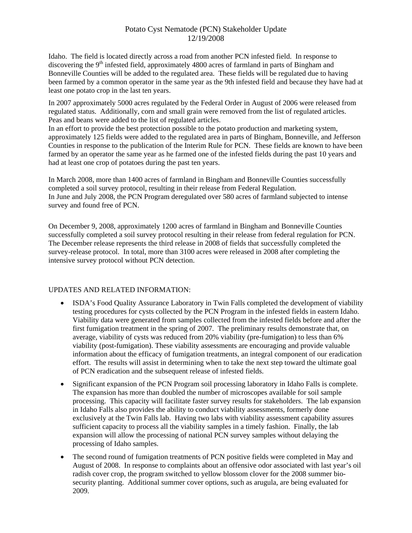# Potato Cyst Nematode (PCN) Stakeholder Update 12/19/2008

Idaho. The field is located directly across a road from another PCN infested field. In response to discovering the  $9<sup>th</sup>$  infested field, approximately 4800 acres of farmland in parts of Bingham and Bonneville Counties will be added to the regulated area. These fields will be regulated due to having been farmed by a common operator in the same year as the 9th infested field and because they have had at least one potato crop in the last ten years.

In 2007 approximately 5000 acres regulated by the Federal Order in August of 2006 were released from regulated status. Additionally, corn and small grain were removed from the list of regulated articles. Peas and beans were added to the list of regulated articles.

In an effort to provide the best protection possible to the potato production and marketing system, approximately 125 fields were added to the regulated area in parts of Bingham, Bonneville, and Jefferson Counties in response to the publication of the Interim Rule for PCN. These fields are known to have been farmed by an operator the same year as he farmed one of the infested fields during the past 10 years and had at least one crop of potatoes during the past ten years.

In March 2008, more than 1400 acres of farmland in Bingham and Bonneville Counties successfully completed a soil survey protocol, resulting in their release from Federal Regulation. In June and July 2008, the PCN Program deregulated over 580 acres of farmland subjected to intense survey and found free of PCN.

On December 9, 2008, approximately 1200 acres of farmland in Bingham and Bonneville Counties successfully completed a soil survey protocol resulting in their release from federal regulation for PCN. The December release represents the third release in 2008 of fields that successfully completed the survey-release protocol. In total, more than 3100 acres were released in 2008 after completing the intensive survey protocol without PCN detection.

### UPDATES AND RELATED INFORMATION:

- ISDA's Food Quality Assurance Laboratory in Twin Falls completed the development of viability testing procedures for cysts collected by the PCN Program in the infested fields in eastern Idaho. Viability data were generated from samples collected from the infested fields before and after the first fumigation treatment in the spring of 2007. The preliminary results demonstrate that, on average, viability of cysts was reduced from 20% viability (pre-fumigation) to less than 6% viability (post-fumigation). These viability assessments are encouraging and provide valuable information about the efficacy of fumigation treatments, an integral component of our eradication effort. The results will assist in determining when to take the next step toward the ultimate goal of PCN eradication and the subsequent release of infested fields.
- Significant expansion of the PCN Program soil processing laboratory in Idaho Falls is complete. The expansion has more than doubled the number of microscopes available for soil sample processing. This capacity will facilitate faster survey results for stakeholders. The lab expansion in Idaho Falls also provides the ability to conduct viability assessments, formerly done exclusively at the Twin Falls lab. Having two labs with viability assessment capability assures sufficient capacity to process all the viability samples in a timely fashion. Finally, the lab expansion will allow the processing of national PCN survey samples without delaying the processing of Idaho samples.
- The second round of fumigation treatments of PCN positive fields were completed in May and August of 2008. In response to complaints about an offensive odor associated with last year's oil radish cover crop, the program switched to yellow blossom clover for the 2008 summer biosecurity planting. Additional summer cover options, such as arugula, are being evaluated for 2009.